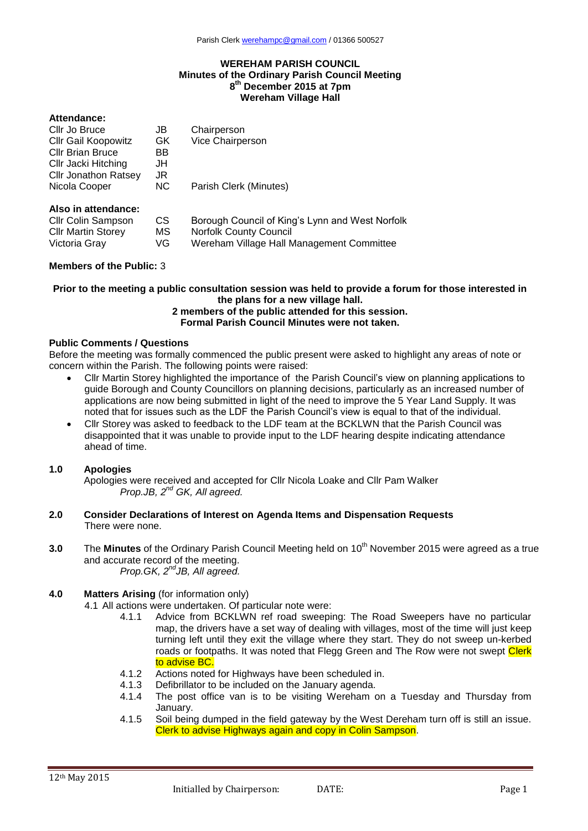#### **WEREHAM PARISH COUNCIL Minutes of the Ordinary Parish Council Meeting 8 th December 2015 at 7pm Wereham Village Hall**

### **Attendance:**

| Cllr Jo Bruce               | JB        | Chairperson                                     |
|-----------------------------|-----------|-------------------------------------------------|
| <b>Cllr Gail Koopowitz</b>  | GK.       | Vice Chairperson                                |
| <b>Cllr Brian Bruce</b>     | BB        |                                                 |
| Cllr Jacki Hitching         | JH        |                                                 |
| <b>Cllr Jonathon Ratsey</b> | JR        |                                                 |
| Nicola Cooper               | <b>NC</b> | Parish Clerk (Minutes)                          |
| Also in attendance:         |           |                                                 |
| <b>CIIr Colin Sampson</b>   | CS        | Borough Council of King's Lynn and West Norfolk |
| <b>Cllr Martin Storey</b>   | МS        | <b>Norfolk County Council</b>                   |
| Victoria Gray               | VG        | Wereham Village Hall Management Committee       |
|                             |           |                                                 |

### **Members of the Public:** 3

# **Prior to the meeting a public consultation session was held to provide a forum for those interested in the plans for a new village hall.**

# **2 members of the public attended for this session. Formal Parish Council Minutes were not taken.**

#### **Public Comments / Questions**

Before the meeting was formally commenced the public present were asked to highlight any areas of note or concern within the Parish. The following points were raised:

- Cllr Martin Storey highlighted the importance of the Parish Council's view on planning applications to guide Borough and County Councillors on planning decisions, particularly as an increased number of applications are now being submitted in light of the need to improve the 5 Year Land Supply. It was noted that for issues such as the LDF the Parish Council's view is equal to that of the individual.
- Cllr Storey was asked to feedback to the LDF team at the BCKLWN that the Parish Council was disappointed that it was unable to provide input to the LDF hearing despite indicating attendance ahead of time.

## **1.0 Apologies**

Apologies were received and accepted for Cllr Nicola Loake and Cllr Pam Walker *Prop.JB, 2nd GK, All agreed.*

- **2.0 Consider Declarations of Interest on Agenda Items and Dispensation Requests** There were none.
- **3.0** The Minutes of the Ordinary Parish Council Meeting held on 10<sup>th</sup> November 2015 were agreed as a true and accurate record of the meeting. *Prop.GK, 2<sup>nd</sup>JB, All agreed.*

# **4.0 Matters Arising** (for information only)

- 4.1 All actions were undertaken. Of particular note were:
	- 4.1.1 Advice from BCKLWN ref road sweeping: The Road Sweepers have no particular map, the drivers have a set way of dealing with villages, most of the time will just keep turning left until they exit the village where they start. They do not sweep un-kerbed roads or footpaths. It was noted that Flegg Green and The Row were not swept Clerk to advise BC.
	- 4.1.2 Actions noted for Highways have been scheduled in.
	- 4.1.3 Defibrillator to be included on the January agenda.<br>4.1.4 The post office van is to be visiting Wereham of
	- The post office van is to be visiting Wereham on a Tuesday and Thursday from January.
	- 4.1.5 Soil being dumped in the field gateway by the West Dereham turn off is still an issue. Clerk to advise Highways again and copy in Colin Sampson.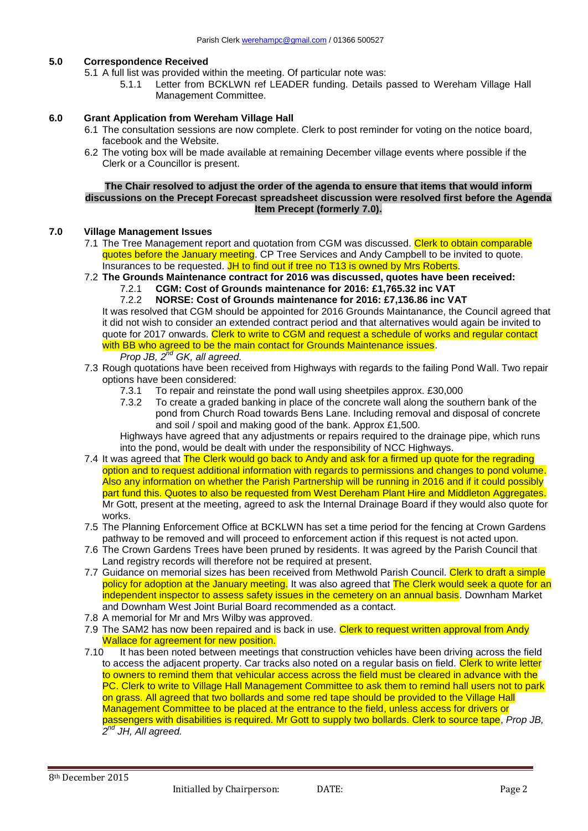# **5.0 Correspondence Received**

- 5.1 A full list was provided within the meeting. Of particular note was:
	- 5.1.1 Letter from BCKLWN ref LEADER funding. Details passed to Wereham Village Hall Management Committee.

## **6.0 Grant Application from Wereham Village Hall**

- 6.1 The consultation sessions are now complete. Clerk to post reminder for voting on the notice board, facebook and the Website.
- 6.2 The voting box will be made available at remaining December village events where possible if the Clerk or a Councillor is present.

## **The Chair resolved to adjust the order of the agenda to ensure that items that would inform discussions on the Precept Forecast spreadsheet discussion were resolved first before the Agenda Item Precept (formerly 7.0).**

### **7.0 Village Management Issues**

- 7.1 The Tree Management report and quotation from CGM was discussed. Clerk to obtain comparable quotes before the January meeting. CP Tree Services and Andy Campbell to be invited to quote. Insurances to be requested. JH to find out if tree no T13 is owned by Mrs Roberts.
- 7.2 **The Grounds Maintenance contract for 2016 was discussed, quotes have been received:** 
	- 7.2.1 **CGM: Cost of Grounds maintenance for 2016: £1,765.32 inc VAT**

7.2.2 **NORSE: Cost of Grounds maintenance for 2016: £7,136.86 inc VAT** It was resolved that CGM should be appointed for 2016 Grounds Maintanance, the Council agreed that it did not wish to consider an extended contract period and that alternatives would again be invited to quote for 2017 onwards. Clerk to write to CGM and request a schedule of works and regular contact with BB who agreed to be the main contact for Grounds Maintenance issues.

# *Prop JB, 2nd GK, all agreed.*

- 7.3 Rough quotations have been received from Highways with regards to the failing Pond Wall. Two repair options have been considered:
	- 7.3.1 To repair and reinstate the pond wall using sheetpiles approx. £30,000
	- 7.3.2 To create a graded banking in place of the concrete wall along the southern bank of the pond from Church Road towards Bens Lane. Including removal and disposal of concrete and soil / spoil and making good of the bank. Approx £1,500.

Highways have agreed that any adjustments or repairs required to the drainage pipe, which runs into the pond, would be dealt with under the responsibility of NCC Highways.

- 7.4 It was agreed that The Clerk would go back to Andy and ask for a firmed up quote for the regrading option and to request additional information with regards to permissions and changes to pond volume. Also any information on whether the Parish Partnership will be running in 2016 and if it could possibly part fund this. Quotes to also be requested from West Dereham Plant Hire and Middleton Aggregates. Mr Gott, present at the meeting, agreed to ask the Internal Drainage Board if they would also quote for works.
- 7.5 The Planning Enforcement Office at BCKLWN has set a time period for the fencing at Crown Gardens pathway to be removed and will proceed to enforcement action if this request is not acted upon.
- 7.6 The Crown Gardens Trees have been pruned by residents. It was agreed by the Parish Council that Land registry records will therefore not be required at present.
- 7.7 Guidance on memorial sizes has been received from Methwold Parish Council. Clerk to draft a simple policy for adoption at the January meeting. It was also agreed that The Clerk would seek a quote for an independent inspector to assess safety issues in the cemetery on an annual basis. Downham Market and Downham West Joint Burial Board recommended as a contact.
- 7.8 A memorial for Mr and Mrs Wilby was approved.
- 7.9 The SAM2 has now been repaired and is back in use. Clerk to request written approval from Andy Wallace for agreement for new position.
- 7.10 It has been noted between meetings that construction vehicles have been driving across the field to access the adjacent property. Car tracks also noted on a regular basis on field. Clerk to write letter to owners to remind them that vehicular access across the field must be cleared in advance with the PC. Clerk to write to Village Hall Management Committee to ask them to remind hall users not to park on grass. All agreed that two bollards and some red tape should be provided to the Village Hall Management Committee to be placed at the entrance to the field, unless access for drivers or passengers with disabilities is required. Mr Gott to supply two bollards. Clerk to source tape, *Prop JB, 2 nd JH, All agreed.*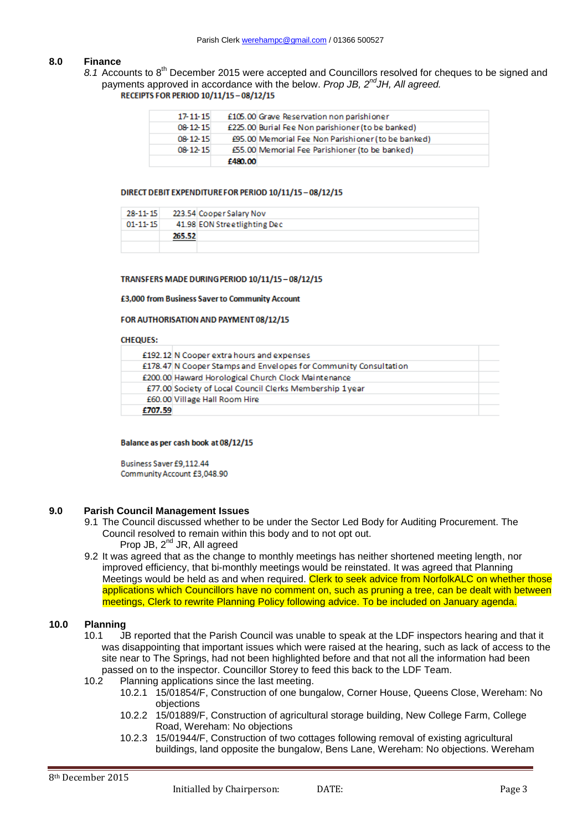### **8.0 Finance**

8.1 Accounts to 8<sup>th</sup> December 2015 were accepted and Councillors resolved for cheques to be signed and payments approved in accordance with the below. *Prop JB, 2ndJH, All agreed.*

| 08-12-15       | £480.00 | £55.00 Memorial Fee Parishioner (to be banked)     |
|----------------|---------|----------------------------------------------------|
| 08-12-15       |         | £95.00 Memorial Fee Non Parishioner (to be banked) |
| 08-12-15       |         | £225.00 Burial Fee Non parishioner (to be banked)  |
| $17 - 11 - 15$ |         | £105.00 Grave Reservation non parishioner          |

#### DIRECT DEBIT EXPENDITURE FOR PERIOD 10/11/15-08/12/15

| $28 - 11 - 15$ |        | 223.54 Cooper Salary Nov     |
|----------------|--------|------------------------------|
| $01 - 11 - 15$ |        | 41.98 EON Streetlighting Dec |
|                | 265.52 |                              |
|                |        |                              |

#### TRANSFERS MADE DURING PERIOD 10/11/15-08/12/15

£3,000 from Business Saver to Community Account

#### FOR AUTHORISATION AND PAYMENT 08/12/15

#### **CHEQUES:**

|         | £192.12 N Cooper extra hours and expenses                        |  |
|---------|------------------------------------------------------------------|--|
|         | £178.47 N Cooper Stamps and Envelopes for Community Consultation |  |
|         | £200.00 Haward Horological Church Clock Maintenance              |  |
|         | £77.00 Society of Local Council Clerks Membership 1year          |  |
|         | £60.00 Village Hall Room Hire                                    |  |
| £707.59 |                                                                  |  |

#### Balance as per cash book at 08/12/15

Business Saver £9,112,44 Community Account £3,048.90

#### **9.0 Parish Council Management Issues**

- 9.1 The Council discussed whether to be under the Sector Led Body for Auditing Procurement. The Council resolved to remain within this body and to not opt out. Prop JB,  $2^{nd}$  JR, All agreed
- 9.2 It was agreed that as the change to monthly meetings has neither shortened meeting length, nor improved efficiency, that bi-monthly meetings would be reinstated. It was agreed that Planning Meetings would be held as and when required. Clerk to seek advice from NorfolkALC on whether those applications which Councillors have no comment on, such as pruning a tree, can be dealt with between meetings, Clerk to rewrite Planning Policy following advice. To be included on January agenda.

## **10.0 Planning**

- 10.1 JB reported that the Parish Council was unable to speak at the LDF inspectors hearing and that it was disappointing that important issues which were raised at the hearing, such as lack of access to the site near to The Springs, had not been highlighted before and that not all the information had been passed on to the inspector. Councillor Storey to feed this back to the LDF Team.
- 10.2 Planning applications since the last meeting.
	- 10.2.1 15/01854/F, Construction of one bungalow, Corner House, Queens Close, Wereham: No objections
	- 10.2.2 15/01889/F, Construction of agricultural storage building, New College Farm, College Road, Wereham: No objections
	- 10.2.3 15/01944/F, Construction of two cottages following removal of existing agricultural buildings, land opposite the bungalow, Bens Lane, Wereham: No objections. Wereham